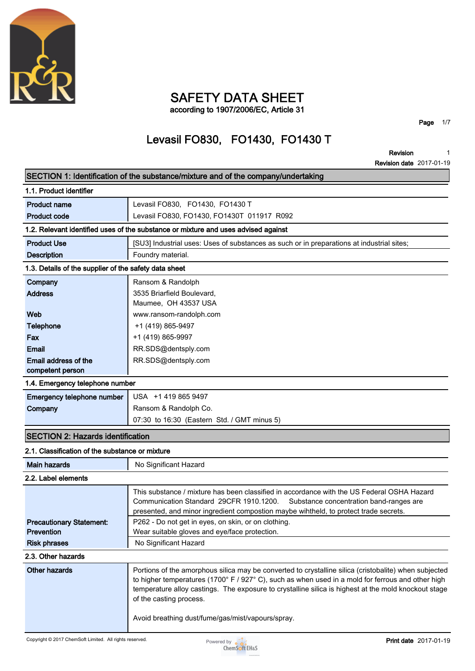

### **SAFETY DATA SHEET according to 1907/2006/EC, Article 31**

**Page 1/7**

# **Levasil FO830, FO1430, FO1430 T**

**Revision Revision date 2017-01-19 1**

|                                                       | SECTION 1: Identification of the substance/mixture and of the company/undertaking                                               |
|-------------------------------------------------------|---------------------------------------------------------------------------------------------------------------------------------|
| 1.1. Product identifier                               |                                                                                                                                 |
| <b>Product name</b>                                   | Levasil FO830, FO1430, FO1430 T                                                                                                 |
| <b>Product code</b>                                   | Levasil FO830, FO1430, FO1430T 011917 R092                                                                                      |
|                                                       | 1.2. Relevant identified uses of the substance or mixture and uses advised against                                              |
| <b>Product Use</b>                                    | [SU3] Industrial uses: Uses of substances as such or in preparations at industrial sites;                                       |
| <b>Description</b>                                    | Foundry material.                                                                                                               |
| 1.3. Details of the supplier of the safety data sheet |                                                                                                                                 |
| Company                                               | Ransom & Randolph                                                                                                               |
| <b>Address</b>                                        | 3535 Briarfield Boulevard,                                                                                                      |
|                                                       | Maumee, OH 43537 USA                                                                                                            |
| Web                                                   | www.ransom-randolph.com                                                                                                         |
| <b>Telephone</b>                                      | +1 (419) 865-9497                                                                                                               |
| Fax                                                   | +1 (419) 865-9997                                                                                                               |
| <b>Email</b>                                          | RR.SDS@dentsply.com                                                                                                             |
| Email address of the                                  | RR.SDS@dentsply.com                                                                                                             |
| competent person                                      |                                                                                                                                 |
| 1.4. Emergency telephone number                       |                                                                                                                                 |
| Emergency telephone number                            | USA +1 419 865 9497                                                                                                             |
| Company                                               | Ransom & Randolph Co.                                                                                                           |
|                                                       | 07:30 to 16:30 (Eastern Std. / GMT minus 5)                                                                                     |
| <b>SECTION 2: Hazards identification</b>              |                                                                                                                                 |
| 2.1. Classification of the substance or mixture       |                                                                                                                                 |
| <b>Main hazards</b>                                   | No Significant Hazard                                                                                                           |
| 2.2. Label elements                                   |                                                                                                                                 |
|                                                       | This substance / mixture has been classified in accordance with the US Federal OSHA Hazard                                      |
|                                                       | Communication Standard 29CFR 1910.1200.<br>Substance concentration band-ranges are                                              |
|                                                       | presented, and minor ingredient compostion maybe wihtheld, to protect trade secrets.                                            |
| <b>Precautionary Statement:</b>                       | P262 - Do not get in eyes, on skin, or on clothing.                                                                             |
| Prevention                                            | Wear suitable gloves and eye/face protection.                                                                                   |
| <b>Risk phrases</b>                                   | No Significant Hazard                                                                                                           |
| 2.3. Other hazards                                    |                                                                                                                                 |
| <b>Other hazards</b>                                  | Portions of the amorphous silica may be converted to crystalline silica (cristobalite) when subjected                           |
|                                                       | to higher temperatures (1700° F / 927° C), such as when used in a mold for ferrous and other high                               |
|                                                       | temperature alloy castings. The exposure to crystalline silica is highest at the mold knockout stage<br>of the casting process. |
|                                                       |                                                                                                                                 |
|                                                       | Avoid breathing dust/fume/gas/mist/vapours/spray.                                                                               |
|                                                       |                                                                                                                                 |

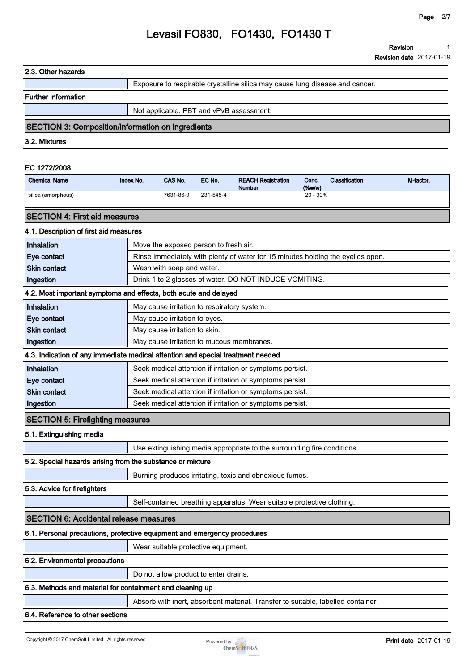#### **2.3. Other hazards**

**Exposure to respirable crystalline silica may cause lung disease and cancer.**

#### **Further information**

**Not applicable. PBT and vPvB assessment.**

### **SECTION 3: Composition/information on ingredients**

**3.2. Mixtures**

#### **EC 1272/2008**

| <b>Chemical Name</b> | <b>Index No.</b> | <b>CAS No.</b> | EC No.    | <b>REACH Registration</b><br><b>Number</b> | Conc.<br>$(\%w/w)$ | Classification | M-factor |
|----------------------|------------------|----------------|-----------|--------------------------------------------|--------------------|----------------|----------|
| silica (amorphous)   |                  | 7631-86-9      | 231-545-4 |                                            | $20 - 30%$         |                |          |

### **SECTION 4: First aid measures**

### **4.1. Description of first aid measures**

| Inhalation                                                               | Move the exposed person to fresh air.                                            |  |
|--------------------------------------------------------------------------|----------------------------------------------------------------------------------|--|
| Eye contact                                                              | Rinse immediately with plenty of water for 15 minutes holding the eyelids open.  |  |
| Skin contact                                                             | Wash with soap and water.                                                        |  |
| Ingestion                                                                | Drink 1 to 2 glasses of water. DO NOT INDUCE VOMITING.                           |  |
|                                                                          | 4.2. Most important symptoms and effects, both acute and delayed                 |  |
| Inhalation                                                               | May cause irritation to respiratory system.                                      |  |
| Eye contact                                                              | May cause irritation to eyes.                                                    |  |
| <b>Skin contact</b>                                                      | May cause irritation to skin.                                                    |  |
| Ingestion                                                                | May cause irritation to mucous membranes.                                        |  |
|                                                                          | 4.3. Indication of any immediate medical attention and special treatment needed  |  |
| Inhalation                                                               | Seek medical attention if irritation or symptoms persist.                        |  |
| Eye contact                                                              | Seek medical attention if irritation or symptoms persist.                        |  |
| <b>Skin contact</b>                                                      | Seek medical attention if irritation or symptoms persist.                        |  |
| Ingestion                                                                | Seek medical attention if irritation or symptoms persist.                        |  |
| <b>SECTION 5: Firefighting measures</b>                                  |                                                                                  |  |
| 5.1. Extinguishing media                                                 |                                                                                  |  |
|                                                                          | Use extinguishing media appropriate to the surrounding fire conditions.          |  |
| 5.2. Special hazards arising from the substance or mixture               |                                                                                  |  |
|                                                                          | Burning produces irritating, toxic and obnoxious fumes.                          |  |
| 5.3. Advice for firefighters                                             |                                                                                  |  |
|                                                                          | Self-contained breathing apparatus. Wear suitable protective clothing.           |  |
| <b>SECTION 6: Accidental release measures</b>                            |                                                                                  |  |
| 6.1. Personal precautions, protective equipment and emergency procedures |                                                                                  |  |
|                                                                          | Wear suitable protective equipment.                                              |  |
| 6.2. Environmental precautions                                           |                                                                                  |  |
|                                                                          | Do not allow product to enter drains.                                            |  |
| 6.3. Methods and material for containment and cleaning up                |                                                                                  |  |
|                                                                          | Absorb with inert, absorbent material. Transfer to suitable, labelled container. |  |

### **6.4. Reference to other sections**

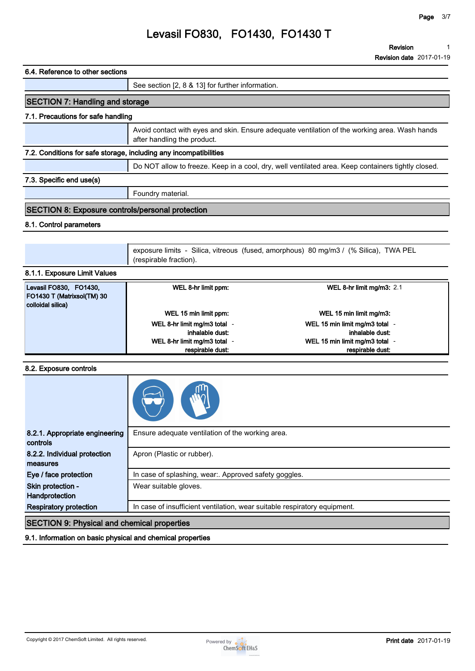## **6.4. Reference to other sections See section [2, 8 & 13] for further information. SECTION 7: Handling and storage 7.1. Precautions for safe handling Avoid contact with eyes and skin. Ensure adequate ventilation of the working area. Wash hands after handling the product. 7.2. Conditions for safe storage, including any incompatibilities Do NOT allow to freeze. Keep in a cool, dry, well ventilated area. Keep containers tightly closed. 7.3. Specific end use(s) Foundry material. SECTION 8: Exposure controls/personal protection 8.1. Control parameters exposure limits - Silica, vitreous (fused, amorphous) 80 mg/m3 / (% Silica), TWA PEL (respirable fraction). 8.1.1. Exposure Limit Values WEL 8-hr limit ppm: WEL 8-hr limit mg/m3: 2.1**

| Levasil FO830, FO1430,            | WEL 8-hr limit ppm:        | WEL 8-hr limit mg/m3: $2.1$    |
|-----------------------------------|----------------------------|--------------------------------|
| <b>FO1430 T (Matrixsol(TM) 30</b> |                            |                                |
| colloidal silica)                 |                            |                                |
|                                   | WEL 15 min limit ppm:      | WEL 15 min limit mg/m3:        |
|                                   | WEL 8-hr limit mg/m3 total | WEL 15 min limit mg/m3 total - |
|                                   | inhalable dust:            | inhalable dust:                |
|                                   | WEL 8-hr limit mg/m3 total | WEL 15 min limit mg/m3 total - |
|                                   | respirable dust:           | respirable dust:               |

### **8.2. Exposure controls**

| 8.2.1. Appropriate engineering<br>controls         | Ensure adequate ventilation of the working area.                          |  |
|----------------------------------------------------|---------------------------------------------------------------------------|--|
| 8.2.2. Individual protection<br>measures           | Apron (Plastic or rubber).                                                |  |
| Eye / face protection                              | In case of splashing, wear:. Approved safety goggles.                     |  |
| Skin protection -<br>Handprotection                | Wear suitable gloves.                                                     |  |
| <b>Respiratory protection</b>                      | In case of insufficient ventilation, wear suitable respiratory equipment. |  |
| <b>SECTION 9: Physical and chemical properties</b> |                                                                           |  |

### **9.1. Information on basic physical and chemical properties**

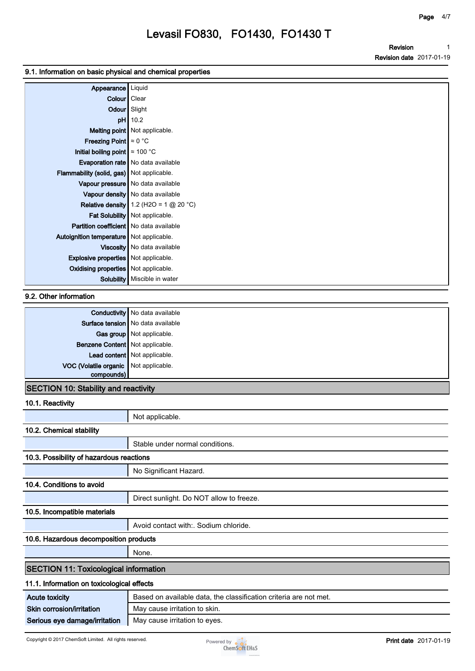#### **9.1. Information on basic physical and chemical properties**

| Appearance                                  | Liquid                                   |
|---------------------------------------------|------------------------------------------|
| Colour   Clear                              |                                          |
|                                             | Odour Slight                             |
| pH                                          | 10.2                                     |
|                                             | Melting point Not applicable.            |
| <b>Freezing Point</b> $\approx 0$ °C        |                                          |
| Initial boiling point $\approx 100$ °C      |                                          |
|                                             | Evaporation rate   No data available     |
| Flammability (solid, gas) Not applicable.   |                                          |
|                                             | Vapour pressure No data available        |
|                                             | Vapour density   No data available       |
|                                             | Relative density 1.2 (H2O = 1 $@$ 20 °C) |
|                                             | Fat Solubility   Not applicable.         |
| Partition coefficient   No data available   |                                          |
| Autoignition temperature   Not applicable.  |                                          |
|                                             | Viscosity   No data available            |
| <b>Explosive properties</b> Not applicable. |                                          |
| <b>Oxidising properties</b> Not applicable. |                                          |
| Solubility                                  | Miscible in water                        |

### **9.2. Other information**

|                                       | <b>Conductivity</b> No data available |
|---------------------------------------|---------------------------------------|
|                                       | Surface tension   No data available   |
|                                       | Gas group Not applicable.             |
| Benzene Content Not applicable.       |                                       |
|                                       | Lead content Not applicable.          |
| VOC (Volatile organic Not applicable. |                                       |
| compounds)                            |                                       |
| 18 = 8 = 18 = 18 = 81 = 1111<br>.     |                                       |

#### **SECTION 10: Stability and reactivity**

### **10.1. Reactivity**

|                                              | Not applicable.                                                   |  |
|----------------------------------------------|-------------------------------------------------------------------|--|
| 10.2. Chemical stability                     |                                                                   |  |
|                                              | Stable under normal conditions.                                   |  |
| 10.3. Possibility of hazardous reactions     |                                                                   |  |
|                                              | No Significant Hazard.                                            |  |
| 10.4. Conditions to avoid                    |                                                                   |  |
|                                              | Direct sunlight. Do NOT allow to freeze.                          |  |
| 10.5. Incompatible materials                 |                                                                   |  |
|                                              | Avoid contact with: Sodium chloride.                              |  |
| 10.6. Hazardous decomposition products       |                                                                   |  |
|                                              | None.                                                             |  |
| <b>SECTION 11: Toxicological information</b> |                                                                   |  |
| 11.1. Information on toxicological effects   |                                                                   |  |
| <b>Acute toxicity</b>                        | Based on available data, the classification criteria are not met. |  |
| Skin corrosion/irritation                    | May cause irritation to skin.                                     |  |
| Serious eye damage/irritation                | May cause irritation to eyes.                                     |  |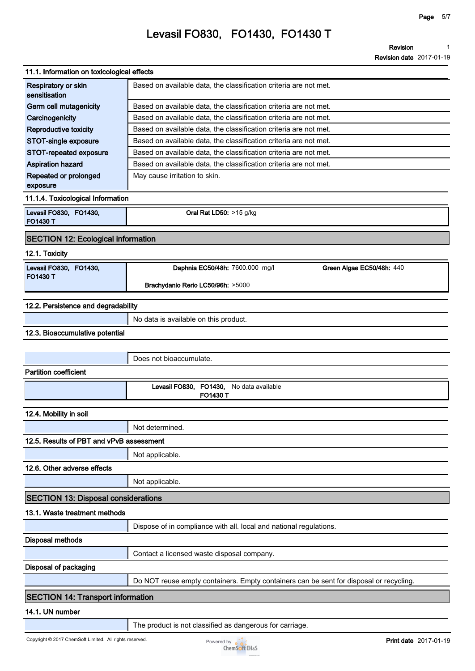| 11.1. Information on toxicological effects |                                                                                        |
|--------------------------------------------|----------------------------------------------------------------------------------------|
| Respiratory or skin<br>sensitisation       | Based on available data, the classification criteria are not met.                      |
| Germ cell mutagenicity                     | Based on available data, the classification criteria are not met.                      |
| Carcinogenicity                            | Based on available data, the classification criteria are not met.                      |
| Reproductive toxicity                      | Based on available data, the classification criteria are not met.                      |
| STOT-single exposure                       | Based on available data, the classification criteria are not met.                      |
| STOT-repeated exposure                     | Based on available data, the classification criteria are not met.                      |
| Aspiration hazard                          | Based on available data, the classification criteria are not met.                      |
| Repeated or prolonged<br>exposure          | May cause irritation to skin.                                                          |
| 11.1.4. Toxicological Information          |                                                                                        |
| Levasil FO830, FO1430,<br><b>FO1430 T</b>  | Oral Rat LD50: >15 g/kg                                                                |
| <b>SECTION 12: Ecological information</b>  |                                                                                        |
| 12.1. Toxicity                             |                                                                                        |
| Levasil FO830, FO1430,<br><b>FO1430 T</b>  | Daphnia EC50/48h: 7600.000 mg/l<br>Green Algae EC50/48h: 440                           |
|                                            | Brachydanio Rerio LC50/96h: >5000                                                      |
| 12.2. Persistence and degradability        |                                                                                        |
|                                            | No data is available on this product.                                                  |
| 12.3. Bioaccumulative potential            |                                                                                        |
|                                            |                                                                                        |
|                                            |                                                                                        |
|                                            | Does not bioaccumulate.                                                                |
| <b>Partition coefficient</b>               |                                                                                        |
|                                            | FO1430,<br>Levasil FO830,<br>No data available<br>FO1430 T                             |
| 12.4. Mobility in soil                     |                                                                                        |
|                                            | Not determined.                                                                        |
| 12.5. Results of PBT and vPvB assessment   |                                                                                        |
|                                            |                                                                                        |
|                                            | Not applicable.                                                                        |
| 12.6. Other adverse effects                |                                                                                        |
|                                            | Not applicable.                                                                        |
| <b>SECTION 13: Disposal considerations</b> |                                                                                        |
| 13.1. Waste treatment methods              |                                                                                        |
|                                            | Dispose of in compliance with all. local and national regulations.                     |
| <b>Disposal methods</b>                    |                                                                                        |
|                                            | Contact a licensed waste disposal company.                                             |
| <b>Disposal of packaging</b>               |                                                                                        |
|                                            | Do NOT reuse empty containers. Empty containers can be sent for disposal or recycling. |
| <b>SECTION 14: Transport information</b>   |                                                                                        |
| 14.1. UN number                            |                                                                                        |
|                                            |                                                                                        |

**The product is not classified as dangerous for carriage.**

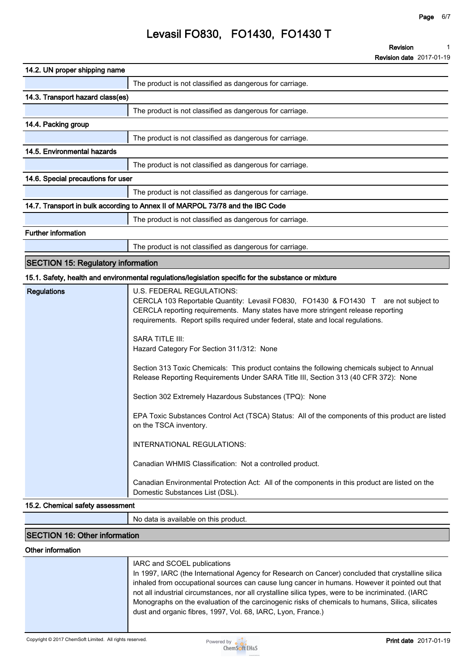| 14.2. UN proper shipping name                                                  |                                                          |  |
|--------------------------------------------------------------------------------|----------------------------------------------------------|--|
|                                                                                | The product is not classified as dangerous for carriage. |  |
| 14.3. Transport hazard class(es)                                               |                                                          |  |
|                                                                                | The product is not classified as dangerous for carriage. |  |
| 14.4. Packing group                                                            |                                                          |  |
|                                                                                | The product is not classified as dangerous for carriage. |  |
| 14.5. Environmental hazards                                                    |                                                          |  |
|                                                                                | The product is not classified as dangerous for carriage. |  |
| 14.6. Special precautions for user                                             |                                                          |  |
|                                                                                | The product is not classified as dangerous for carriage. |  |
| 14.7. Transport in bulk according to Annex II of MARPOL 73/78 and the IBC Code |                                                          |  |
|                                                                                | The product is not classified as dangerous for carriage. |  |
| <b>Further information</b>                                                     |                                                          |  |

**The product is not classified as dangerous for carriage.**

## **SECTION 15: Regulatory information**

### **15.1. Safety, health and environmental regulations/legislation specific for the substance or mixture**

| <b>Regulations</b> | U.S. FEDERAL REGULATIONS:<br>CERCLA 103 Reportable Quantity: Levasil FO830, FO1430 & FO1430 T are not subject to<br>CERCLA reporting requirements. Many states have more stringent release reporting<br>requirements. Report spills required under federal, state and local regulations. |
|--------------------|------------------------------------------------------------------------------------------------------------------------------------------------------------------------------------------------------------------------------------------------------------------------------------------|
|                    | SARA TITLE III:<br>Hazard Category For Section 311/312: None                                                                                                                                                                                                                             |
|                    | Section 313 Toxic Chemicals: This product contains the following chemicals subject to Annual<br>Release Reporting Requirements Under SARA Title III, Section 313 (40 CFR 372): None                                                                                                      |
|                    | Section 302 Extremely Hazardous Substances (TPQ): None                                                                                                                                                                                                                                   |
|                    | EPA Toxic Substances Control Act (TSCA) Status: All of the components of this product are listed<br>on the TSCA inventory.                                                                                                                                                               |
|                    | INTERNATIONAL REGULATIONS:                                                                                                                                                                                                                                                               |
|                    | Canadian WHMIS Classification: Not a controlled product.                                                                                                                                                                                                                                 |
|                    | Canadian Environmental Protection Act: All of the components in this product are listed on the<br>Domestic Substances List (DSL).                                                                                                                                                        |

### **15.2. Chemical safety assessment**

**No data is available on this product.**

### **SECTION 16: Other information**

#### **Other information**

| IARC and SCOEL publications<br>In 1997, IARC (the International Agency for Research on Cancer) concluded that crystalline silica<br>inhaled from occupational sources can cause lung cancer in humans. However it pointed out that<br>not all industrial circumstances, nor all crystalline silica types, were to be incriminated. (IARC<br>Monographs on the evaluation of the carcinogenic risks of chemicals to humans, Silica, silicates<br>dust and organic fibres, 1997, Vol. 68, IARC, Lyon, France.) |
|--------------------------------------------------------------------------------------------------------------------------------------------------------------------------------------------------------------------------------------------------------------------------------------------------------------------------------------------------------------------------------------------------------------------------------------------------------------------------------------------------------------|
|                                                                                                                                                                                                                                                                                                                                                                                                                                                                                                              |